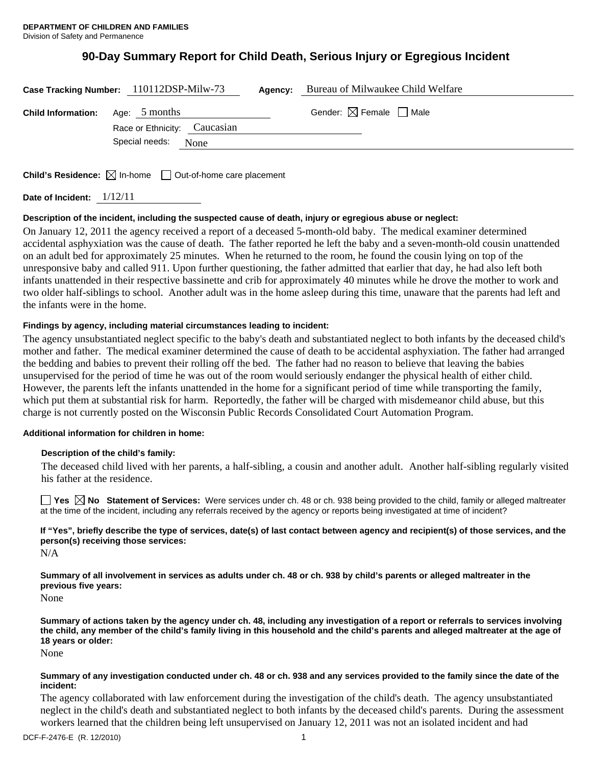# **90-Day Summary Report for Child Death, Serious Injury or Egregious Incident**

|                                         | Case Tracking Number: 110112DSP-Milw-73                | Agency: | Bureau of Milwaukee Child Welfare      |
|-----------------------------------------|--------------------------------------------------------|---------|----------------------------------------|
| <b>Child Information:</b> Age: 5 months |                                                        |         | Gender: $\boxtimes$ Female $\Box$ Male |
|                                         | Race or Ethnicity: Caucasian<br>Special needs:<br>None |         |                                        |
|                                         |                                                        |         |                                        |

**Child's Residence:**  $\boxtimes$  In-home  $\Box$  Out-of-home care placement

**Date of Incident:** 1/12/11

## **Description of the incident, including the suspected cause of death, injury or egregious abuse or neglect:**

On January 12, 2011 the agency received a report of a deceased 5-month-old baby. The medical examiner determined accidental asphyxiation was the cause of death. The father reported he left the baby and a seven-month-old cousin unattended on an adult bed for approximately 25 minutes. When he returned to the room, he found the cousin lying on top of the unresponsive baby and called 911. Upon further questioning, the father admitted that earlier that day, he had also left both infants unattended in their respective bassinette and crib for approximately 40 minutes while he drove the mother to work and two older half-siblings to school. Another adult was in the home asleep during this time, unaware that the parents had left and the infants were in the home.

## **Findings by agency, including material circumstances leading to incident:**

The agency unsubstantiated neglect specific to the baby's death and substantiated neglect to both infants by the deceased child's mother and father. The medical examiner determined the cause of death to be accidental asphyxiation. The father had arranged the bedding and babies to prevent their rolling off the bed. The father had no reason to believe that leaving the babies unsupervised for the period of time he was out of the room would seriously endanger the physical health of either child. However, the parents left the infants unattended in the home for a significant period of time while transporting the family, which put them at substantial risk for harm. Reportedly, the father will be charged with misdemeanor child abuse, but this charge is not currently posted on the Wisconsin Public Records Consolidated Court Automation Program.

#### **Additional information for children in home:**

#### **Description of the child's family:**

 The deceased child lived with her parents, a half-sibling, a cousin and another adult. Another half-sibling regularly visited his father at the residence.

**Yes**  $\boxtimes$  **No** Statement of Services: Were services under ch. 48 or ch. 938 being provided to the child, family or alleged maltreater at the time of the incident, including any referrals received by the agency or reports being investigated at time of incident?

## **If "Yes", briefly describe the type of services, date(s) of last contact between agency and recipient(s) of those services, and the person(s) receiving those services:**

N/A

**Summary of all involvement in services as adults under ch. 48 or ch. 938 by child's parents or alleged maltreater in the previous five years:** 

None

**Summary of actions taken by the agency under ch. 48, including any investigation of a report or referrals to services involving the child, any member of the child's family living in this household and the child's parents and alleged maltreater at the age of 18 years or older:** 

None

#### **Summary of any investigation conducted under ch. 48 or ch. 938 and any services provided to the family since the date of the incident:**

The agency collaborated with law enforcement during the investigation of the child's death. The agency unsubstantiated neglect in the child's death and substantiated neglect to both infants by the deceased child's parents. During the assessment workers learned that the children being left unsupervised on January 12, 2011 was not an isolated incident and had